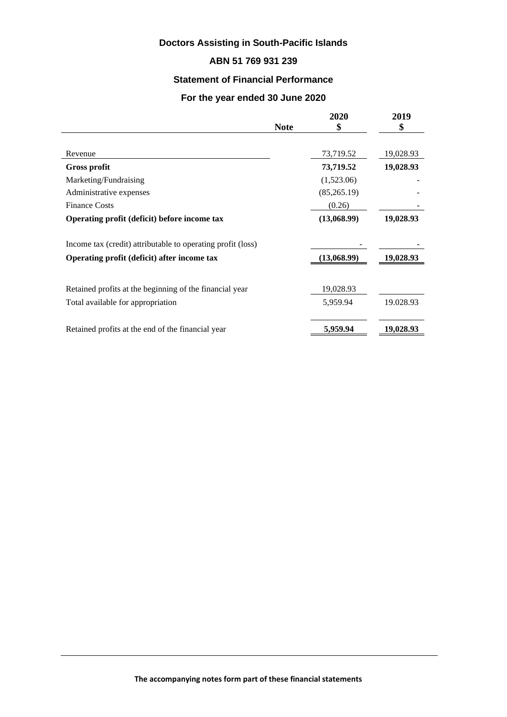# **Doctors Assisting in South-Pacific Islands**

## **ABN 51 769 931 239**

## **Statement of Financial Performance**

## **For the year ended 30 June 2020**

|                                                             | <b>Note</b> | 2020<br>\$  | 2019<br>\$ |
|-------------------------------------------------------------|-------------|-------------|------------|
|                                                             |             |             |            |
|                                                             |             |             |            |
| Revenue                                                     |             | 73,719.52   | 19,028.93  |
| <b>Gross profit</b>                                         |             | 73,719.52   | 19,028.93  |
| Marketing/Fundraising                                       |             | (1,523.06)  |            |
| Administrative expenses                                     |             | (85,265.19) |            |
| <b>Finance Costs</b>                                        |             | (0.26)      |            |
| Operating profit (deficit) before income tax                |             | (13,068.99) | 19,028.93  |
| Income tax (credit) attributable to operating profit (loss) |             |             |            |
| Operating profit (deficit) after income tax                 |             | (13,068.99) | 19,028.93  |
| Retained profits at the beginning of the financial year     |             | 19,028.93   |            |
|                                                             |             |             |            |
| Total available for appropriation                           |             | 5,959.94    | 19.028.93  |
| Retained profits at the end of the financial year           |             | 5,959.94    | 19,028.93  |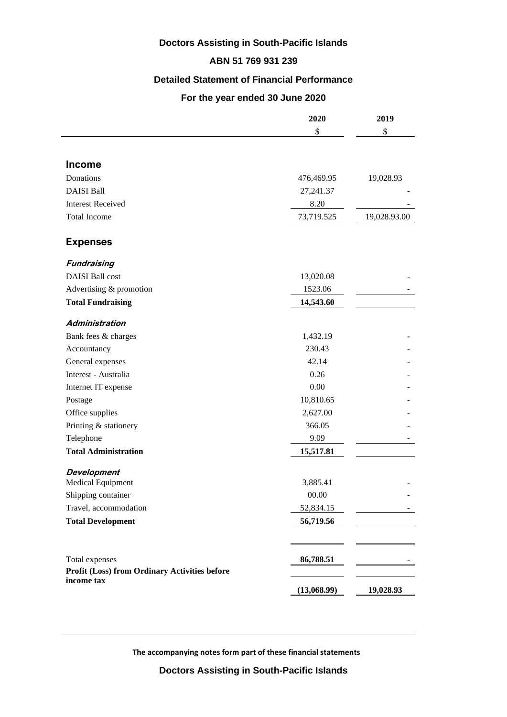# **Doctors Assisting in South-Pacific Islands**

## **ABN 51 769 931 239**

## **Detailed Statement of Financial Performance**

## **For the year ended 30 June 2020**

|                                                                 | 2020        | 2019<br>\$   |
|-----------------------------------------------------------------|-------------|--------------|
|                                                                 | \$          |              |
|                                                                 |             |              |
| <b>Income</b>                                                   |             |              |
| Donations                                                       | 476,469.95  | 19,028.93    |
| <b>DAISI Ball</b>                                               | 27,241.37   |              |
| <b>Interest Received</b>                                        | 8.20        |              |
| <b>Total Income</b>                                             | 73,719.525  | 19,028.93.00 |
| <b>Expenses</b>                                                 |             |              |
| Fundraising                                                     |             |              |
| <b>DAISI</b> Ball cost                                          | 13,020.08   |              |
| Advertising & promotion                                         | 1523.06     |              |
| <b>Total Fundraising</b>                                        | 14,543.60   |              |
| <b>Administration</b>                                           |             |              |
| Bank fees & charges                                             | 1,432.19    |              |
| Accountancy                                                     | 230.43      |              |
| General expenses                                                | 42.14       |              |
| Interest - Australia                                            | 0.26        |              |
| Internet IT expense                                             | 0.00        |              |
| Postage                                                         | 10,810.65   |              |
| Office supplies                                                 | 2,627.00    |              |
| Printing & stationery                                           | 366.05      |              |
| Telephone                                                       | 9.09        |              |
| <b>Total Administration</b>                                     | 15,517.81   |              |
| <b>Development</b>                                              |             |              |
| Medical Equipment                                               | 3,885.41    |              |
| Shipping container                                              | 00.00       |              |
| Travel, accommodation                                           | 52,834.15   |              |
| <b>Total Development</b>                                        | 56,719.56   |              |
|                                                                 |             |              |
| Total expenses<br>Profit (Loss) from Ordinary Activities before | 86,788.51   |              |
| income tax                                                      | (13,068.99) | 19,028.93    |

 **The accompanying notes form part of these financial statements**